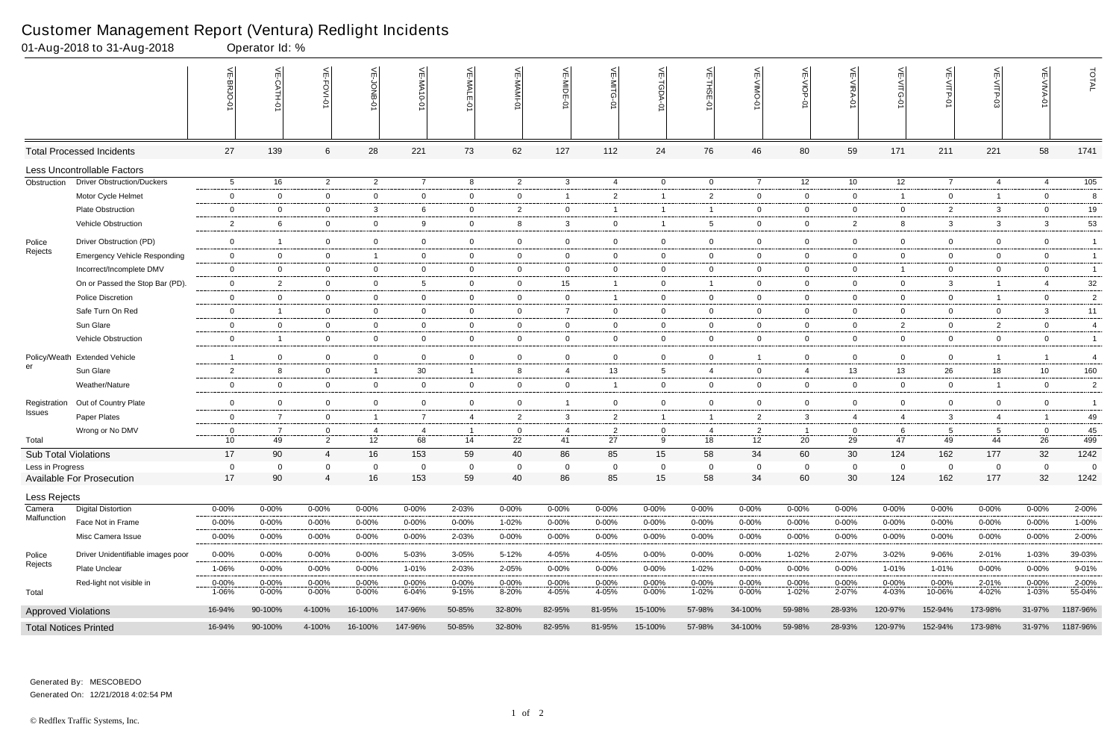|                              | 01-Aug-2018 to 31-Aug-2018             |                    | Operator Id: %      |                |                    |                    |                     |                |                    |                                  |                |                    |                    |                    |                     |                                                                 |                     |                                 |                    |                   |
|------------------------------|----------------------------------------|--------------------|---------------------|----------------|--------------------|--------------------|---------------------|----------------|--------------------|----------------------------------|----------------|--------------------|--------------------|--------------------|---------------------|-----------------------------------------------------------------|---------------------|---------------------------------|--------------------|-------------------|
|                              |                                        |                    | $\leq$<br>CATH-0    | VE-FOVI-01     | 늦                  | VE-MA<br>$10 - 01$ | VE-MALE<br>ò        | ۴              | VE-MIDE-01         | VE-MITG-<br>$\overrightarrow{Q}$ | VE-TGDA-0      | VE-THSE-01         | VE-VIMO-01         | VE-VIOP-01         | VE-VIRA-01          | $\stackrel{\textstyle<}{\scriptstyle\rm m}$<br><b>NITG</b><br>Ò | VE-VITP-01          | $\frac{1}{2}$<br><b>SD-41IV</b> | 늦                  | TOTAL             |
|                              | <b>Total Processed Incidents</b>       | 27                 | 139                 | 6              | 28                 | 221                | 73                  | 62             | 127                | 112                              | 24             | 76                 | 46                 | 80                 | 59                  | 171                                                             | 211                 | 221                             | 58                 | 1741              |
|                              | <b>Less Uncontrollable Factors</b>     |                    |                     |                |                    |                    |                     |                |                    |                                  |                |                    |                    |                    |                     |                                                                 |                     |                                 |                    |                   |
| Obstruction                  | <b>Driver Obstruction/Duckers</b>      | $5\overline{)}$    | 16                  | $\overline{2}$ | $\overline{2}$     | $\overline{7}$     | 8                   | $\overline{2}$ | $\mathbf{3}$       | 4                                | $\overline{0}$ | $\overline{0}$     | $\overline{7}$     | 12                 | 10                  | 12                                                              | $\overline{7}$      | $\overline{4}$                  | $\overline{4}$     | $\frac{105}{105}$ |
|                              | Motor Cycle Helmet                     | $\mathbf 0$        | $\overline{0}$      | $\overline{0}$ | $\mathbf 0$        | $\mathbf 0$        | $\mathbf{0}$        | $\overline{0}$ | -1                 | $\overline{2}$                   | $\overline{1}$ | $\overline{2}$     | $\mathbf{0}$       | $\overline{0}$     | $\mathbf 0$         | $\overline{1}$                                                  | $\overline{0}$      | $\overline{1}$                  | $\mathbf 0$        | 8                 |
|                              | <b>Plate Obstruction</b>               | $\overline{0}$     | $\mathbf 0$         | $\overline{0}$ | $\mathbf{3}$       | 6                  | $\mathbf{0}$        | $\overline{2}$ | $\overline{0}$     | -1                               | $\overline{1}$ | -1                 | $\mathbf{0}$       | $\overline{0}$     | $\overline{0}$      | $\mathbf 0$                                                     | $\overline{2}$      | $\mathbf{3}$                    | $\overline{0}$     | 19                |
|                              | Vehicle Obstruction                    | $\overline{2}$     | 6                   | $\mathbf 0$    | $\mathbf 0$        | 9                  | $\mathbf{0}$        | 8              | 3                  | $\overline{0}$                   | $\overline{1}$ | 5                  | $\mathbf 0$        | $\overline{0}$     | $\overline{2}$      | 8                                                               | 3                   | 3                               | 3                  | 53                |
| Police                       | Driver Obstruction (PD)                | $\overline{0}$     | $\overline{1}$      | $\overline{0}$ | $\mathbf 0$        | $\mathbf 0$        | $\mathbf 0$         | $\overline{0}$ | $\mathbf 0$        | $\mathbf 0$                      | $\overline{0}$ | $\overline{0}$     | $\mathbf 0$        | $\overline{0}$     | $\mathbf 0$         | $\mathbf 0$                                                     | $\overline{0}$      | $\mathbf 0$                     | $\mathbf 0$        | $\overline{1}$    |
| Rejects                      | <b>Emergency Vehicle Responding</b>    | $\overline{0}$     | $\overline{0}$      | $\overline{0}$ | $\overline{1}$     | $\mathbf{0}$       | $\mathbf{0}$        | $\overline{0}$ | $\overline{0}$     | $\mathbf{0}$                     | $\overline{0}$ | $\overline{0}$     | $\mathbf{0}$       | $\overline{0}$     | $\overline{0}$      | $\mathbf 0$                                                     | $\overline{0}$      | $\overline{0}$                  | $\overline{0}$     | $\mathbf{1}$      |
|                              | Incorrect/Incomplete DMV               | $\overline{0}$     | $\overline{0}$      | $\overline{0}$ | $\mathbf 0$        | 0                  | $\mathbf{0}$        | $\overline{0}$ | $\mathbf 0$        | $\overline{0}$                   | $\mathbf 0$    | $\overline{0}$     | $\mathbf{0}$       | $\overline{0}$     | $\mathbf 0$         |                                                                 | $\overline{0}$      | $\mathbf 0$                     | $\mathbf 0$        | $\overline{1}$    |
|                              | On or Passed the Stop Bar (PD).        | $\overline{0}$     | $\overline{2}$      | $\overline{0}$ | $\overline{0}$     | $5\overline{)}$    | $\mathbf 0$         | $\overline{0}$ | 15                 | $\mathbf{1}$                     | $\overline{0}$ | - 1                | $\overline{0}$     | $\overline{0}$     | $\overline{0}$      | $\overline{0}$                                                  | $\mathbf{3}$        | $\overline{1}$                  | $\overline{4}$     | $32\,$            |
|                              | <b>Police Discretion</b>               | $\overline{0}$     | $\overline{0}$      | $\overline{0}$ | $\overline{0}$     | $\overline{0}$     | $\overline{0}$      | $\overline{0}$ | $\overline{0}$     | $\mathbf{1}$                     | $\mathbf{0}$   | $\overline{0}$     | $\overline{0}$     | $\overline{0}$     | $\overline{0}$      | $\overline{0}$                                                  | $\overline{0}$      | $\overline{1}$                  | $\overline{0}$     | $\overline{c}$    |
|                              | Safe Turn On Red                       | $\mathbf 0$        | $\overline{1}$      | $\mathbf 0$    | $\mathbf 0$        | 0                  | $\mathbf{0}$        | $\overline{0}$ | $\overline{7}$     | $\overline{0}$                   | $\mathbf{0}$   | $\overline{0}$     | $\mathbf{0}$       | $\overline{0}$     | $\mathbf 0$         | $\mathbf 0$                                                     | $\overline{0}$      | $\mathbf 0$                     | $\mathbf{3}$       | 11                |
|                              | Sun Glare                              | $\overline{0}$     | $\overline{0}$      | $\overline{0}$ | $\overline{0}$     | $\overline{0}$     | $\overline{0}$      | $\overline{0}$ | $\overline{0}$     | $\overline{0}$                   | $\overline{0}$ | $\overline{0}$     | $\mathbf{0}$       | $\overline{0}$     | $\overline{0}$      | $\overline{2}$                                                  | $\overline{0}$      | $\overline{2}$                  | $\overline{0}$     | $\overline{4}$    |
|                              | Vehicle Obstruction                    | $\mathbf 0$        | $\overline{1}$      | $\overline{0}$ | $\mathbf{0}$       | $\overline{0}$     | $\mathbf{0}$        | $\overline{0}$ | $\overline{0}$     | $\overline{0}$                   | $\mathbf{0}$   | $\overline{0}$     | $\mathbf{0}$       | $\overline{0}$     | $\mathbf 0$         | $\overline{0}$                                                  | $\overline{0}$      | $\mathbf 0$                     | $\overline{0}$     | $\overline{1}$    |
| Policy/Weath                 | <b>Extended Vehicle</b>                | $\overline{1}$     | $\Omega$            | $\mathbf 0$    | $\mathbf 0$        | 0                  | $\mathbf 0$         | $\mathbf 0$    | $\mathbf 0$        | $\mathbf 0$                      | $\mathbf 0$    | $\overline{0}$     | -1                 | $\mathbf 0$        | $\mathbf 0$         | $\mathbf 0$                                                     | $\mathbf 0$         | $\overline{1}$                  |                    | $\overline{4}$    |
| er                           | Sun Glare                              | $\overline{2}$     | 8                   | $\overline{0}$ | $\overline{1}$     | 30                 |                     | 8              | $\overline{4}$     | 13                               | 5              | $\overline{4}$     | $\mathbf{0}$       | 4                  | 13                  | 13                                                              | 26                  | 18                              | 10                 | 160               |
|                              | Weather/Nature                         | $\overline{0}$     | $\overline{0}$      | $\overline{0}$ | $\overline{0}$     | $\overline{0}$     | $\overline{0}$      | $\overline{0}$ | $\overline{0}$     | $\mathbf{1}$                     | $\overline{0}$ | $\overline{0}$     | $\overline{0}$     | $\overline{0}$     | $\mathbf 0$         | $\overline{0}$                                                  | $\overline{0}$      | $\overline{1}$                  | $\overline{0}$     | $\overline{2}$    |
| Registration                 | Out of Country Plate                   | $\mathbf 0$        | $\Omega$            | $\overline{0}$ | $\mathbf 0$        | 0                  | $\mathbf{0}$        | $\mathbf 0$    |                    | 0                                | $\mathbf 0$    | $\overline{0}$     | $\mathbf{0}$       | $\mathbf 0$        | $\overline{0}$      | $\mathbf 0$                                                     | $\overline{0}$      | 0                               | $\overline{0}$     | -1                |
| Issues                       | Paper Plates                           | $\mathbf 0$        | $\overline{7}$      | $\overline{0}$ | $\overline{1}$     | $\overline{7}$     | $\overline{4}$      | $\overline{2}$ | $\mathbf{3}$       | $\overline{2}$                   | $\overline{1}$ | $\overline{1}$     | $\overline{2}$     | $\mathbf{3}$       | $\overline{4}$      | 4                                                               | 3                   | $\overline{4}$                  | $\overline{1}$     | 49                |
|                              | Wrong or No DMV                        | $\overline{0}$     | $\overline{7}$      | $\mathbf{0}$   | 4                  | -4                 |                     | $\overline{0}$ | $\overline{4}$     | $\overline{2}$                   | 0              | -4                 | $\overline{2}$     | $\overline{1}$     | $\overline{0}$      | 6                                                               | $5\overline{)}$     | 5                               | $\mathbf 0$        | 45                |
| Total                        |                                        | 10 <sup>°</sup>    | 49                  | $\overline{2}$ | 12                 | 68                 | 14                  | 22             | 41                 | 27                               | 9              | 18                 | 12 <sup>2</sup>    | 20                 | 29                  | 47                                                              | 49                  | 44                              | 26                 | 499               |
| Sub Total Violations         |                                        | 17                 | 90                  | $\overline{4}$ | 16                 | 153                | 59                  | 40             | 86                 | 85                               | 15             | 58                 | 34                 | 60                 | 30                  | 124                                                             | 162                 | 177                             | 32                 | 1242              |
| Less in Progress             |                                        | $\overline{0}$     | $\Omega$            | $\Omega$       | $\Omega$           | $\Omega$           | $\Omega$            | $\mathbf 0$    | $\Omega$           | $\Omega$                         | $\mathbf 0$    | $\Omega$           | $\Omega$           | $\overline{0}$     | $\Omega$            | $\Omega$                                                        | $\overline{0}$      | $\Omega$                        | $\Omega$           | $\Omega$          |
|                              | Available For Prosecution              | 17                 | 90                  | 4              | 16                 | 153                | 59                  | 40             | 86                 | 85                               | 15             | 58                 | 34                 | 60                 | 30                  | 124                                                             | 162                 | 177                             | 32                 | 1242              |
| Less Rejects                 |                                        |                    |                     |                |                    |                    |                     |                |                    |                                  |                |                    |                    |                    |                     |                                                                 |                     |                                 |                    |                   |
| Camera<br>Malfunction        | <b>Digital Distortion</b>              | $0 - 00%$          | $0 - 00%$           | $0 - 00%$      | $0 - 00%$          | $0 - 00%$          | 2-03%               | $0 - 00%$      | 0-00%              | $0 - 00\%$                       | 0-00%          | $0 - 00%$          | $0 - 00%$          | $0 - 00%$          | $0 - 00%$           | $0 - 00%$                                                       | 0-00%               | $0 - 00%$                       | $0 - 00\%$         | 2-00%             |
|                              | Face Not in Frame<br>Misc Camera Issue | $0 - 00%$          | $0 - 00%$           | 0-00%          | 0-00%              | $0 - 00%$          | $0 - 00\%$          | 1-02%          | 0-00%              | $0 - 00%$                        | $0 - 00\%$     | $0 - 00%$          | $0 - 00%$          | $0 - 00%$          | 0-00%               | 0-00%                                                           | 0-00%               | 0-00%                           | $0 - 00\%$         | 1-00%<br>2-00%    |
|                              |                                        | $0 - 00%$          | 0-00%               | 0-00%          | $0 - 00%$          | $0 - 00%$          | 2-03%               | 0-00%          | $0 - 00%$          | 0-00%                            | 0-00%          | $0 - 00%$          | $0 - 00%$          | $0 - 00\%$         | 0-00%               | 0-00%                                                           | 0-00%               | 0-00%                           | $0 - 00\%$         |                   |
| Police<br>Rejects            | Driver Unidentifiable images poor      | $0 - 00%$          | $0 - 00\%$          | $0 - 00\%$     | $0 - 00%$          | 5-03%              | $3 - 05%$           | 5-12%          | 4-05%              | 4-05%                            | $0 - 00\%$     | $0 - 00%$          | $0 - 00%$          | 1-02%              | 2-07%               | 3-02%                                                           | 9-06%               | 2-01%                           | 1-03%              | 39-03%            |
|                              | Plate Unclear                          | 1-06%              | 0-00%               | 0-00%          | $0 - 00%$          | 1-01%              | 2-03%               | 2-05%          | 0-00%              | $0 - 00%$                        | 0-00%          | 1-02%              | $0 - 00%$          | $0 - 00%$          | $0 - 00\%$          | 1-01%                                                           | 1-01%               | 0-00%                           | $0 - 00\%$         | 9-01%             |
| Total                        | Red-light not visible in               | $0 - 00%$<br>1-06% | $0 - 00\%$<br>0-00% | 0-00%<br>0-00% | $0 - 00%$<br>0-00% | $0 - 00%$<br>6-04% | $0 - 00\%$<br>9-15% | 0-00%<br>8-20% | $0 - 00%$<br>4-05% | $0 - 00\%$<br>4-05%              | 0-00%<br>0-00% | $0 - 00%$<br>1-02% | $0 - 00%$<br>0-00% | $0 - 00%$<br>1-02% | $0 - 00\%$<br>2-07% | $0 - 00%$<br>4-03%                                              | $0 - 00%$<br>10-06% | 2-01%<br>4-02%                  | $0 - 00%$<br>1-03% | 2-00%<br>55-04%   |
|                              |                                        | 16-94%             | 90-100%             | 4-100%         | 16-100%            | 147-96%            | 50-85%              | 32-80%         | 82-95%             | 81-95%                           | 15-100%        | 57-98%             | 34-100%            | 59-98%             | 28-93%              | 120-97%                                                         | 152-94%             | 173-98%                         | 31-97%             | 1187-96%          |
| <b>Approved Violations</b>   |                                        |                    |                     |                |                    |                    |                     |                |                    |                                  |                |                    |                    |                    |                     |                                                                 |                     |                                 |                    |                   |
| <b>Total Notices Printed</b> |                                        | 16-94%             | 90-100%             | 4-100%         | 16-100%            | 147-96%            | 50-85%              | 32-80%         | 82-95%             | 81-95%                           | 15-100%        | 57-98%             | 34-100%            | 59-98%             | 28-93%              | 120-97%                                                         | 152-94%             | 173-98%                         |                    | 31-97% 1187-96%   |

Generated On: 12/21/2018 4:02:54 PM Generated By: MESCOBEDO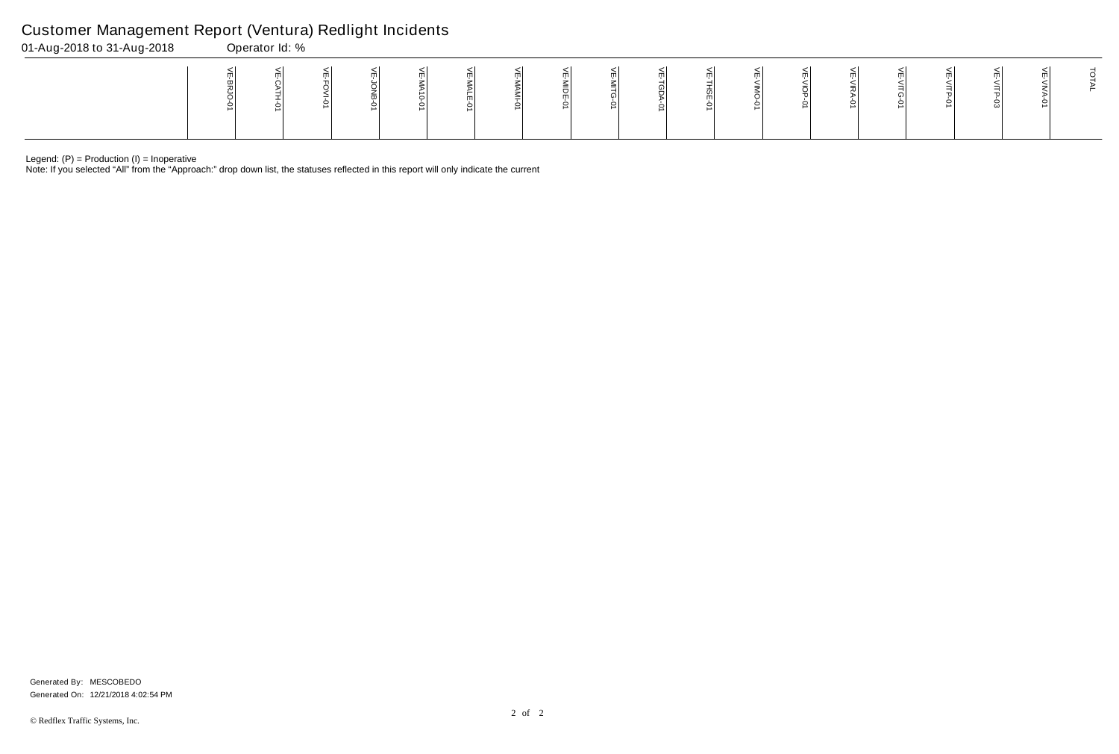Note: If you selected "All" from the "Approach:" drop down list, the statuses reflected in this report will only indicate the current

## Customer Management Report (Ventura) Redlight Incidents

| 01-Aug-2018 to 31-Aug-2018 | Operator Id: % |  |  |   |  |   |  |  |  |  |
|----------------------------|----------------|--|--|---|--|---|--|--|--|--|
|                            |                |  |  | ∸ |  | ∸ |  |  |  |  |

Generated On: 12/21/2018 4:02:54 PM Generated By: MESCOBEDO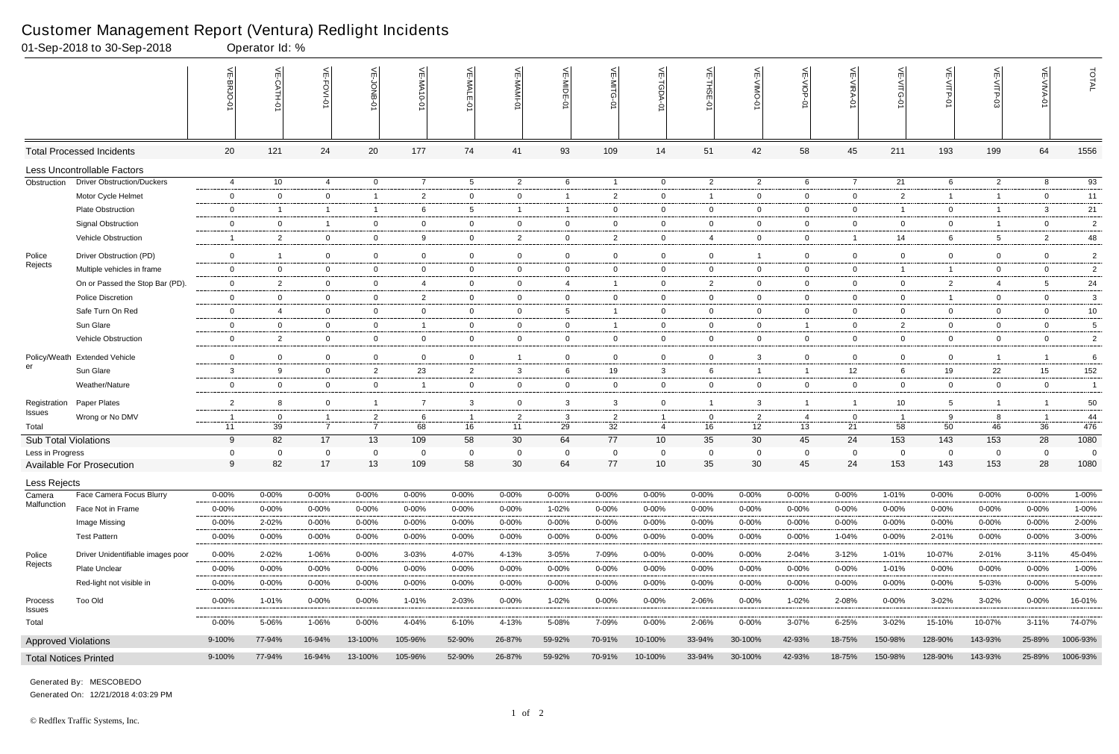|                              | 01-Sep-2018 to 30-Sep-2018        |                | Operator Id: %          |                |                |                  |                |                |                 |                |                |                |                |                |                |                                                                 |                 |                          |                 |                |
|------------------------------|-----------------------------------|----------------|-------------------------|----------------|----------------|------------------|----------------|----------------|-----------------|----------------|----------------|----------------|----------------|----------------|----------------|-----------------------------------------------------------------|-----------------|--------------------------|-----------------|----------------|
|                              |                                   |                | $\frac{1}{2}$<br>CATH-0 | 늰<br>FOVI-01   | 늦              | VE-MA'<br>$-0-0$ | VE-MALE<br>ò   | ۴              | VE-MIDE-01      | VE-MITG-0      | VE-TGDA-0      | VE-THSE-01     | VE-VIMO-01     | VE-VIOP-01     | VE-VIRA-01     | $\stackrel{\textstyle<}{\scriptstyle\rm m}$<br><b>NITG</b><br>Ş | VE-VITP-01      | $\widetilde{\mathbb{F}}$ | 늰               | TOTAL          |
|                              | <b>Total Processed Incidents</b>  | 20             | 121                     | 24             | 20             | 177              | 74             | 41             | 93              | 109            | 14             | 51             | 42             | 58             | 45             | 211                                                             | 193             | 199                      | 64              | 1556           |
|                              | Less Uncontrollable Factors       |                |                         |                |                |                  |                |                |                 |                |                |                |                |                |                |                                                                 |                 |                          |                 |                |
| Obstruction                  | <b>Driver Obstruction/Duckers</b> | 4              | 10                      | $\overline{4}$ | $\overline{0}$ | $\overline{7}$   | $5^{\circ}$    | $\overline{2}$ | 6               | $\overline{1}$ | $\overline{0}$ | $\overline{c}$ | $\overline{2}$ | 6              | $\overline{7}$ | 21                                                              | 6               | $\overline{2}$           | 8               | 93             |
|                              | Motor Cycle Helmet                | $\mathbf 0$    | $\Omega$                | $\mathbf 0$    | $\overline{1}$ | 2                | $\mathbf{0}$   | $\mathbf 0$    |                 | $\overline{2}$ | $\mathbf 0$    | -1             | $\mathbf{0}$   | $\overline{0}$ | $\mathbf 0$    | $\overline{2}$                                                  | $\mathbf{1}$    | $\overline{1}$           | $\overline{0}$  | 11             |
|                              | <b>Plate Obstruction</b>          | $\overline{0}$ | -1                      | $\overline{1}$ | $\overline{1}$ | 6                | 5              | $\overline{1}$ |                 | $\mathbf{0}$   | 0              | $\overline{0}$ | $\mathbf{0}$   | $\overline{0}$ | $\overline{0}$ | -1                                                              | $\overline{0}$  | $\overline{1}$           | $\mathbf{3}$    | 21             |
|                              | <b>Signal Obstruction</b>         | $\mathbf 0$    | $\Omega$                | $\overline{1}$ | $\mathbf 0$    | 0                | $\mathbf{0}$   | $\overline{0}$ | $\mathbf 0$     | $\overline{0}$ | $\mathbf 0$    | $\overline{0}$ | $\mathbf{0}$   | $\overline{0}$ | $\overline{0}$ | $\mathbf 0$                                                     | $\overline{0}$  | $\overline{1}$           | $\overline{0}$  | $\overline{c}$ |
|                              | Vehicle Obstruction               | -1             | $\overline{2}$          | $\overline{0}$ | $\overline{0}$ | 9                | $\mathbf{0}$   | $\overline{2}$ | $\overline{0}$  | $\mathbf{2}$   | $\overline{0}$ | 4              | $\overline{0}$ | $\overline{0}$ | $\overline{1}$ | 14                                                              | 6               | 5                        | $\overline{2}$  | 48             |
| Police                       | Driver Obstruction (PD)           | $\mathbf 0$    | -1                      | $\overline{0}$ | $\mathbf 0$    | $\mathbf 0$      | $\mathbf{0}$   | $\mathbf 0$    | $\mathbf 0$     | $\overline{0}$ | $\mathbf 0$    | $\overline{0}$ | $\mathbf{1}$   | $\overline{0}$ | $\mathbf 0$    | $\overline{0}$                                                  | $\mathbf 0$     | $\mathbf 0$              | $\overline{0}$  | $\overline{2}$ |
| Rejects                      | Multiple vehicles in frame        | $\overline{0}$ | $\Omega$                | $\overline{0}$ | $\mathbf 0$    | 0                | $\mathbf{0}$   | $\overline{0}$ | $\mathbf 0$     | $\overline{0}$ | $\mathbf 0$    | $\overline{0}$ | $\mathbf{0}$   | 0              | $\mathbf 0$    |                                                                 | $\overline{1}$  | $\mathbf 0$              | $\mathbf 0$     | $\overline{2}$ |
|                              | On or Passed the Stop Bar (PD).   | $\overline{0}$ | $\overline{2}$          | $\overline{0}$ | $\overline{0}$ | 4                | $\mathbf{0}$   | $\overline{0}$ | $\overline{4}$  | -1             | 0              | $\overline{2}$ | $\mathbf{0}$   | $\overline{0}$ | $\overline{0}$ | $\overline{0}$                                                  | $\overline{2}$  | $\overline{4}$           | $5\overline{)}$ | 24             |
|                              | <b>Police Discretion</b>          | $\overline{0}$ | $\overline{0}$          | $\overline{0}$ | $\overline{0}$ | $\overline{2}$   | $\mathbf{0}$   | $\overline{0}$ | $\overline{0}$  | $\overline{0}$ | $\mathbf{0}$   | $\overline{0}$ | $\mathbf{0}$   | $\overline{0}$ | $\overline{0}$ | $\overline{0}$                                                  | $\mathbf{1}$    | $\mathbf 0$              | $\overline{0}$  | 3              |
|                              | Safe Turn On Red                  | $\mathbf 0$    | $\overline{4}$          | $\mathbf 0$    | $\mathbf 0$    | 0                | $\mathbf{0}$   | $\overline{0}$ | $5\overline{)}$ | -1             | $\mathbf 0$    | $\overline{0}$ | $\mathbf{0}$   | $\overline{0}$ | $\mathbf 0$    | $\mathbf 0$                                                     | $\mathbf 0$     | $\mathbf 0$              | $\overline{0}$  | $10\,$         |
|                              | Sun Glare                         | $\overline{0}$ | $\overline{0}$          | $\overline{0}$ | $\overline{0}$ | -1               | $\overline{0}$ | $\overline{0}$ | $\overline{0}$  | -1             | 0              | $\overline{0}$ | $\overline{0}$ | $\overline{1}$ | $\overline{0}$ | $\overline{2}$                                                  | $\overline{0}$  | $\mathbf 0$              | $\overline{0}$  | 5              |
|                              | Vehicle Obstruction               | $\overline{0}$ | $\overline{2}$          | $\overline{0}$ | $\overline{0}$ | $\overline{0}$   | $\mathbf{0}$   | $\overline{0}$ | $\overline{0}$  | $\overline{0}$ | $\mathbf{0}$   | $\overline{0}$ | $\mathbf{0}$   | $\overline{0}$ | $\mathbf 0$    | $\overline{0}$                                                  | $\overline{0}$  | $\mathbf 0$              | $\overline{0}$  | $\overline{c}$ |
| Policy/Weath                 | <b>Extended Vehicle</b>           | $\mathbf 0$    | $\Omega$                | $\mathbf 0$    | $\pmb{0}$      | 0                | $\mathbf 0$    | $\overline{1}$ | $\mathbf 0$     | $\mathbf 0$    | $\mathbf 0$    | $\overline{0}$ | 3              | $\mathbf 0$    | $\mathbf 0$    | 0                                                               | $\mathbf 0$     | $\overline{1}$           |                 | 6              |
| er                           | Sun Glare                         | 3              | -9                      | $\overline{0}$ | $\overline{2}$ | 23               | $\overline{2}$ | $\mathbf{3}$   | 6               | 19             | 3              | 6              | -1             | $\overline{1}$ | 12             | 6                                                               | 19              | 22                       | 15              | 152            |
|                              | Weather/Nature                    | $\overline{0}$ | $\overline{0}$          | $\overline{0}$ | $\overline{0}$ | - 1              | $\mathbf 0$    | $\overline{0}$ | $\overline{0}$  | $\overline{0}$ | $\overline{0}$ | $\overline{0}$ | $\mathbf{0}$   | $\overline{0}$ | $\overline{0}$ | $\overline{0}$                                                  | $\overline{0}$  | $\mathbf{0}$             | $\overline{0}$  | $\overline{1}$ |
| Registration                 | Paper Plates                      | $\overline{2}$ |                         | $\overline{0}$ | $\overline{1}$ | 7                | 3              | $\mathbf 0$    | -3              | 3              | $\mathbf 0$    |                | 3              | $\overline{1}$ | -1             | 10                                                              | $5\phantom{.0}$ | $\overline{1}$           |                 | 50             |
| Issues                       | Wrong or No DMV                   | -1             | 0                       | -1             | $\overline{2}$ | 6                |                | $\overline{2}$ | -3              | $\overline{2}$ |                | $\overline{0}$ | 2              | 4              | $\overline{0}$ |                                                                 | 9               | 8                        |                 | 44             |
| Total                        |                                   | 11             | 39                      | $\overline{7}$ | $\overline{7}$ | 68               | 16             | 11             | 29              | 32             | $\overline{4}$ | 16             | 12             | 13             | 21             | 58                                                              | 50              | 46                       | 36              | 476            |
| Sub Total Violations         |                                   | 9              | 82                      | 17             | 13             | 109              | 58             | 30             | 64              | 77             | 10             | 35             | 30             | 45             | 24             | 153                                                             | 143             | 153                      | 28              | 1080           |
| Less in Progress             |                                   | 0              |                         | 0              | $\mathbf 0$    | 0                |                | $\mathbf 0$    | 0               | $\mathbf 0$    | $\mathbf 0$    | $\overline{0}$ | $\Omega$       | $\overline{0}$ | 0              | $\mathbf 0$                                                     | 0               | $\mathbf{0}$             | $\Omega$        | - 0            |
|                              | <b>Available For Prosecution</b>  | 9              | 82                      | 17             | 13             | 109              | 58             | 30             | 64              | 77             | 10             | 35             | 30             | 45             | 24             | 153                                                             | 143             | 153                      | 28              | 1080           |
| Less Rejects                 |                                   |                |                         |                |                |                  |                |                |                 |                |                |                |                |                |                |                                                                 |                 |                          |                 |                |
| Camera<br>Malfunction        | Face Camera Focus Blurry          | $0 - 00\%$     | $0 - 00%$               | $0 - 00\%$     | $0 - 00%$      | 0-00%            | 0-00%          | $0 - 00%$      | $0 - 00%$       | $0 - 00\%$     | $0 - 00\%$     | $0 - 00%$      | $0 - 00%$      | $0 - 00\%$     | $0 - 00\%$     | 1-01%                                                           | $0 - 00%$       | 0-00%                    | $0 - 00\%$      | 1-00%          |
|                              | Face Not in Frame                 | $0 - 00%$      | $0 - 00\%$              | $0 - 00\%$     | $0 - 00%$      | $0 - 00%$        | 0-00%          | $0 - 00%$      | 1-02%           | $0 - 00\%$     | 0-00%          | $0 - 00%$      | $0 - 00%$      | $0 - 00%$      | $0 - 00\%$     | $0 - 00%$                                                       | 0-00%           | $0 - 00\%$               | $0 - 00\%$      | 1-00%          |
|                              | Image Missing                     | $0 - 00%$      | 2-02%                   | $0 - 00\%$     | $0 - 00%$      | $0 - 00\%$       | 0-00%          | 0-00%          | $0 - 00%$       | 0-00%          | $0 - 00\%$     | $0 - 00%$      | $0 - 00%$      | $0 - 00%$      | $0 - 00\%$     | $0 - 00%$                                                       | 0-00%           | $0 - 00\%$               | $0 - 00\%$      | 2-00%          |
|                              | <b>Test Pattern</b>               | $0 - 00\%$     | $0 - 00\%$              | $0 - 00\%$     | $0 - 00%$      | $0 - 00%$        | 0-00%          | 0-00%          | $0 - 00%$       | $0 - 00\%$     | 0-00%          | $0 - 00%$      | $0 - 00%$      | $0 - 00\%$     | 1-04%          | $0 - 00%$                                                       | 2-01%           | $0 - 00\%$               | $0 - 00\%$      | 3-00%          |
| Police                       | Driver Unidentifiable images poor | $0 - 00%$      | 2-02%                   | 1-06%          | $0 - 00%$      | 3-03%            | 4-07%          | 4-13%          | 3-05%           | 7-09%          | 0-00%          | $0 - 00%$      | $0 - 00%$      | 2-04%          | $3 - 12%$      | 1-01%                                                           | 10-07%          | 2-01%                    | $3 - 11%$       | 45-04%         |
| Rejects                      | Plate Unclear                     | $0 - 00%$      | $0 - 00%$               | $0 - 00\%$     | $0 - 00%$      | $0 - 00\%$       | $0 - 00\%$     | $0 - 00%$      | 0-00%           | $0 - 00%$      | $0 - 00\%$     | $0 - 00%$      | 0-00%          | $0 - 00%$      | $0 - 00\%$     | 1-01%                                                           | 0-00%           | $0 - 00\%$               | $0 - 00\%$      | 1-00%          |
|                              | Red-light not visible in          | $0 - 00\%$     | $0 - 00\%$              | $0 - 00\%$     | $0 - 00%$      | $0 - 00%$        | 0-00%          | 0-00%          | $0 - 00%$       | $0 - 00\%$     | 0-00%          | $0 - 00%$      | $0 - 00%$      | 0-00%          | $0 - 00%$      | $0 - 00%$                                                       | 0-00%           | 5-03%                    | $0 - 00%$       | 5-00%          |
| Process<br>Issues            | Too Old                           | $0 - 00\%$     | 1-01%                   | $0 - 00\%$     | $0 - 00\%$     | 1-01%            | 2-03%          | $0 - 00%$      | 1-02%           | $0 - 00\%$     | $0 - 00\%$     | 2-06%          | $0 - 00\%$     | 1-02%          | 2-08%          | $0 - 00\%$                                                      | 3-02%           | 3-02%                    | $0 - 00\%$      | 16-01%         |
| Total                        |                                   | $0 - 00\%$     | $5 - 06%$               | 1-06%          | $0 - 00\%$     | 4-04%            | $6 - 10%$      | $4 - 13%$      | 5-08%           | 7-09%          | $0 - 00\%$     | $2 - 06%$      | $0 - 00\%$     | $3 - 07%$      | $6 - 25%$      | $3 - 02%$                                                       | 15-10%          | 10-07%                   | $3 - 11%$       | 74-07%         |
| <b>Approved Violations</b>   |                                   | 9-100%         | 77-94%                  | 16-94%         | 13-100%        | 105-96%          | 52-90%         | 26-87%         | 59-92%          | 70-91%         | 10-100%        | 33-94%         | 30-100%        | 42-93%         | 18-75%         | 150-98%                                                         | 128-90%         | 143-93%                  | 25-89%          | 1006-93%       |
| <b>Total Notices Printed</b> |                                   | 9-100%         | 77-94%                  | 16-94%         | 13-100%        | 105-96%          | 52-90%         | 26-87%         | 59-92%          | 70-91%         | 10-100%        | 33-94%         | 30-100%        | 42-93%         | 18-75%         | 150-98%                                                         | 128-90%         | 143-93%                  | 25-89%          | 1006-93%       |

Generated On: 12/21/2018 4:03:29 PM Generated By: MESCOBEDO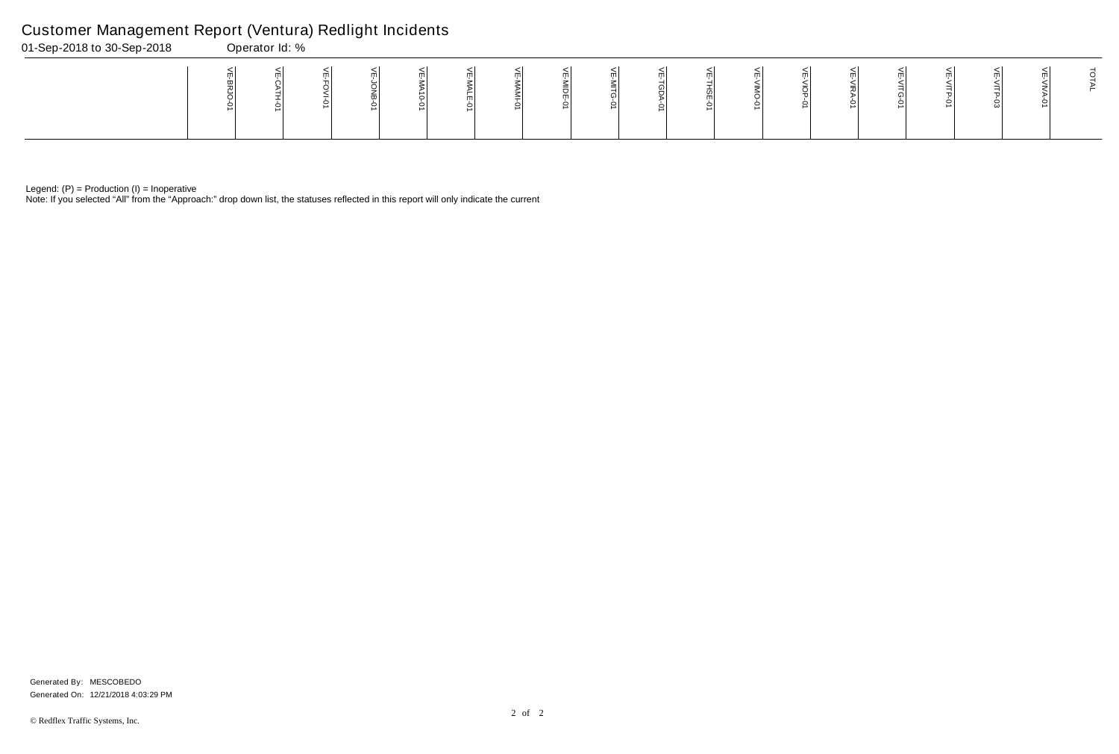Note: If you selected "All" from the "Approach:" drop down list, the statuses reflected in this report will only indicate the current

## Customer Management Report (Ventura) Redlight Incidents

| 01-Sep-2018 to 30-Sep-2018 | Operator Id: % |  |  |  |  |  |     |  |  |  |  |
|----------------------------|----------------|--|--|--|--|--|-----|--|--|--|--|
|                            |                |  |  |  |  |  | m l |  |  |  |  |

Generated On: 12/21/2018 4:03:29 PM Generated By: MESCOBEDO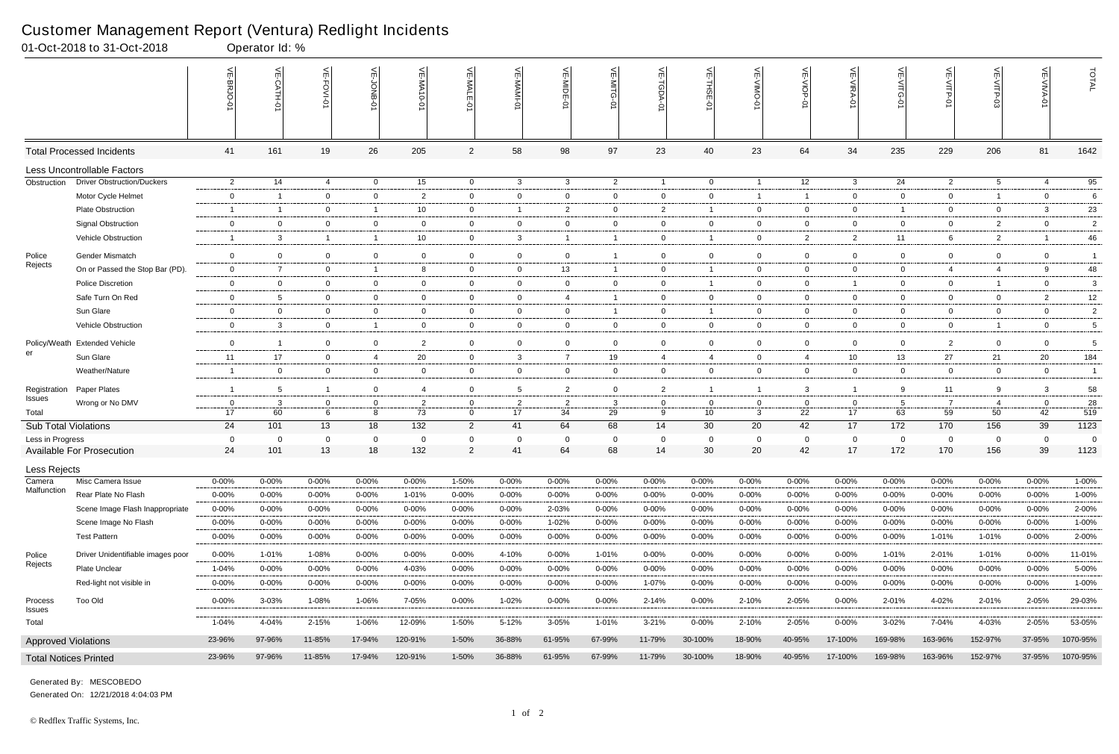|                              | 01-Oct-2018 to 31-Oct-2018               |                      | Operator Id: %          |                          |                         |                    |                        |                     |                      |                        |                         |                          |                    |                          |                     |                        |                        |                       |                      |                |
|------------------------------|------------------------------------------|----------------------|-------------------------|--------------------------|-------------------------|--------------------|------------------------|---------------------|----------------------|------------------------|-------------------------|--------------------------|--------------------|--------------------------|---------------------|------------------------|------------------------|-----------------------|----------------------|----------------|
|                              |                                          |                      | $\frac{1}{2}$           | VE-FOVI-01               | 늦                       | VE-MA10-01         | VE-MALE                | VE-MAMI-0           | VE-MIDE-01           | VE-MITG-01             | VE-TGDA-0               | $\frac{1}{2}$<br>THSE-01 | $\leq$             | VE-VIOP                  | VE-VIRA-01          | VE-VITG-01             | VE-VITP-01             | VE-VITP-03            | 늰                    | TOTAL          |
|                              | <b>Total Processed Incidents</b>         | 41                   | 161                     | 19                       | 26                      | 205                | $\overline{2}$         | 58                  | 98                   | 97                     | 23                      | 40                       | 23                 | 64                       | 34                  | 235                    | 229                    | 206                   | 81                   | 1642           |
|                              | Less Uncontrollable Factors              |                      |                         |                          |                         |                    |                        |                     |                      |                        |                         |                          |                    |                          |                     |                        |                        |                       |                      |                |
| Obstruction                  | <b>Driver Obstruction/Duckers</b>        | $\overline{2}$       | 14                      | 4                        | $\overline{0}$          | 15                 | $\overline{0}$         | $\mathbf{3}$        | $\mathbf{3}$         | $\overline{2}$         | $\overline{1}$          | $\overline{0}$           | $\overline{1}$     | 12                       | $\mathbf{3}$        | 24                     | $\overline{2}$         | 5                     | 4                    | 95             |
|                              | Motor Cycle Helmet                       | $\mathbf 0$          | $\overline{\mathbf{1}}$ | $\overline{0}$           | $\mathbf 0$             | $\overline{2}$     | $\mathbf 0$            | $\mathbf 0$         | $\overline{0}$       | $\overline{0}$         | $\overline{0}$          | $\mathbf 0$              |                    | $\overline{1}$           | $\mathbf 0$         | $\mathbf 0$            | $\mathbf 0$            | $\overline{1}$        | $\mathbf 0$          | 6              |
|                              | <b>Plate Obstruction</b>                 | $\overline{1}$       | - 1                     | $\mathbf 0$              | $\overline{1}$          | 10                 | $\overline{0}$         | $\overline{1}$      | $\overline{2}$       | $\overline{0}$         | $\overline{2}$          | $\overline{1}$           | 0                  | $\overline{0}$           | $\mathbf{0}$        | $\mathbf{1}$           | $\overline{0}$         | $\overline{0}$        | $\mathbf{3}$         | 23             |
|                              | <b>Signal Obstruction</b>                | $\mathbf 0$          | $\mathbf 0$             | $\overline{0}$           | $\mathbf 0$             | $\overline{0}$     | $\overline{0}$         | $\mathbf 0$         | $\overline{0}$       | $\overline{0}$         | $\overline{0}$          | $\mathbf 0$              | 0                  | $\overline{0}$           | $\Omega$            | $\overline{0}$         | $\overline{0}$         | $\overline{2}$        | $\mathbf 0$          | $\overline{2}$ |
|                              | Vehicle Obstruction                      | $\overline{1}$       | 3                       | $\mathbf{1}$             | $\overline{1}$          | 10                 | $\mathbf 0$            | $\mathbf{3}$        | $\overline{1}$       | -1                     | $\mathbf{0}$            | $\overline{1}$           | $\overline{0}$     | $\overline{2}$           | $\overline{2}$      | 11                     | 6                      | $\overline{2}$        | $\overline{1}$       | 46             |
| Police                       | <b>Gender Mismatch</b>                   | $\bf{0}$             | $\overline{0}$          | $\overline{0}$           | $\mathbf 0$             | $\mathbf 0$        | $\overline{0}$         | $\mathbf 0$         | $\overline{0}$       | 1                      | $\overline{0}$          | $\mathbf 0$              | $\overline{0}$     | $\mathbf 0$              | $\mathbf 0$         | $\overline{0}$         | $\mathbf 0$            | $\overline{0}$        | $\overline{0}$       | $\overline{1}$ |
| Rejects                      | On or Passed the Stop Bar (PD).          | $\overline{0}$       | $\overline{7}$          | $\overline{0}$           | $\overline{1}$          | 8                  | $\mathbf 0$            | $\mathbf 0$         | 13                   | 1                      | $\overline{0}$          |                          | $\mathbf 0$        | $\overline{0}$           | $\mathbf 0$         | $\mathbf 0$            | $\overline{4}$         | $\overline{4}$        | 9                    | 48             |
|                              | Police Discretion                        | $\overline{0}$       | $\overline{0}$          | $\overline{0}$           | $\overline{0}$          | $\mathbf{0}$       | $\overline{0}$         | $\mathbf 0$         | $\overline{0}$       | $\overline{0}$         | $\overline{0}$          | $\overline{1}$           | 0                  | $\overline{0}$           | $\overline{1}$      | $\overline{0}$         | $\overline{0}$         | $\overline{1}$        | $\overline{0}$       | 3              |
|                              | Safe Turn On Red                         | $\mathbf 0$          | 5                       | $\overline{0}$           | $\overline{0}$          | $\mathbf 0$        | $\overline{0}$         | $\overline{0}$      | $\overline{4}$       | $\mathbf{1}$           | $\overline{0}$          | $\overline{0}$           | $\overline{0}$     | $\overline{0}$           | $\mathbf 0$         | $\overline{0}$         | $\overline{0}$         | $\mathbf{0}$          | $\overline{2}$       | 12             |
|                              | Sun Glare                                | $\bf{0}$             | $\mathbf 0$             | $\mathbf 0$              | $\mathbf 0$             | $\mathbf 0$        | $\overline{0}$         | $\mathbf 0$         | $\overline{0}$       | $\mathbf{1}$           | $\overline{0}$          | $\overline{1}$           | 0                  | $\mathbf 0$              | $\mathbf 0$         | $\mathbf 0$            | $\overline{0}$         | $\mathbf 0$           | $\mathbf 0$          | $\overline{2}$ |
|                              | Vehicle Obstruction                      | $\overline{0}$       | $\mathbf{3}$            | $\overline{0}$           | $\overline{1}$          | $\overline{0}$     | $\overline{0}$         | $\overline{0}$      | $\overline{0}$       | $\overline{0}$         | $\overline{0}$          | $\overline{0}$           | $\overline{0}$     | $\overline{0}$           | $\mathbf 0$         | $\overline{0}$         | $\overline{0}$         | $\overline{1}$        | $\overline{0}$       | 5              |
| Policy/Weath                 | <b>Extended Vehicle</b>                  | $\mathbf 0$          | $\overline{\mathbf{1}}$ | $\overline{0}$           | $\overline{0}$          | $\overline{2}$     | $\mathbf 0$            | $\mathbf 0$         | $\overline{0}$       | $\mathbf 0$            | $\overline{0}$          | $\mathbf 0$              | $\overline{0}$     | $\overline{0}$           | $\mathbf 0$         | $\overline{0}$         | $\overline{2}$         | $\mathbf 0$           | $\mathbf 0$          | 5              |
| er                           | Sun Glare                                | 11                   | 17                      | $\overline{0}$           | $\overline{4}$          | 20                 | $\overline{0}$         | $\mathbf{3}$        | $\overline{7}$       | 19                     | $\overline{4}$          | $\overline{4}$           | 0                  | $\overline{4}$           | 10                  | 13                     | 27                     | 21                    | 20                   | 184            |
|                              | Weather/Nature                           | $\overline{1}$       | $\mathbf 0$             | $\mathbf 0$              | $\overline{0}$          | $\mathbf 0$        | $\mathbf 0$            | $\overline{0}$      | $\mathbf 0$          | $\overline{0}$         | $\overline{0}$          | $\mathbf 0$              | $\overline{0}$     | $\overline{0}$           | $\mathbf 0$         | $\overline{0}$         | $\overline{0}$         | 0                     | $\mathbf 0$          | $\mathbf{1}$   |
| Registration                 | Paper Plates                             | $\overline{1}$       | $5\overline{5}$         | $\mathbf{1}$             | $\overline{0}$          | $\overline{4}$     | $\mathbf 0$            | 5                   | $\overline{2}$       | $\overline{0}$         | $\overline{2}$          | $\overline{1}$           | $\overline{1}$     | $\mathbf{3}$             | $\overline{1}$      | 9                      | 11                     | 9                     | 3                    | 58             |
| Issues                       | Wrong or No DMV                          | $\overline{0}$       | -3                      | 0                        | $\mathbf 0$             | $\overline{2}$     | $\mathbf{0}$           | $\overline{2}$      | $\overline{2}$       | 3                      | $\mathbf{0}$            | $\mathbf{0}$             | 0                  | $\mathbf{0}$             | 0                   | 5                      | $\overline{7}$         | -4                    | $\overline{0}$       | 28             |
| Total                        |                                          | 17                   | 60                      | 6                        | 8                       | 73                 | $\mathbf 0$            | 17                  | 34                   | 29                     | 9                       | 10                       | 3                  | 22                       | 17                  | 63                     | 59                     | 50                    | 42                   | 519            |
| <b>Sub Total Violations</b>  |                                          | 24                   | 101                     | 13                       | 18                      | 132                | $\overline{2}$         | 41                  | 64                   | 68                     | 14                      | 30                       | 20                 | 42                       | 17                  | 172                    | 170                    | 156                   | 39                   | 1123           |
| Less in Progress             | Available For Prosecution                | $\overline{0}$<br>24 | $\overline{0}$<br>101   | $\mathbf 0$<br>13        | $\mathbf 0$<br>18       | - 0<br>132         | 0<br>$\overline{2}$    | $\mathbf 0$<br>41   | $\overline{0}$<br>64 | $\mathbf 0$<br>68      | $\mathbf{0}$<br>14      | 0<br>30                  | 0<br>20            | $\mathbf{0}$<br>42       | $\Omega$<br>17      | $\mathbf 0$<br>172     | $\mathbf 0$<br>170     | $\overline{0}$<br>156 | $\overline{0}$<br>39 | - 0<br>1123    |
|                              |                                          |                      |                         |                          |                         |                    |                        |                     |                      |                        |                         |                          |                    |                          |                     |                        |                        |                       |                      |                |
| Less Rejects                 |                                          |                      |                         |                          |                         |                    |                        |                     |                      |                        |                         |                          |                    |                          |                     |                        |                        |                       |                      |                |
| Camera<br>Malfunction        | Misc Camera Issue<br>Rear Plate No Flash | 0-00%                | 0-00%                   | $0 - 00%$                | $0 - 00%$               | 0-00%              | $1 - 50%$              | $0 - 00%$           | $0 - 00%$            | $0 - 00%$              | $0 - 00%$               | $0 - 00%$                | $0 - 00%$          | $0 - 00%$                | $0 - 00%$           | $0 - 00%$              | $0 - 00%$              | 0-00%                 | $0 - 00%$            | 1-00%          |
|                              | Scene Image Flash Inappropriate          | 0-00%<br>$0 - 00%$   | 0-00%<br>$0 - 00%$      | $0 - 00\%$<br>$0 - 00\%$ | $0 - 00\%$<br>$0 - 00%$ | 1-01%<br>$0 - 00%$ | $0 - 00%$<br>$0 - 00%$ | $0 - 00\%$<br>0-00% | $0 - 00%$<br>2-03%   | $0 - 00%$<br>$0 - 00%$ | $0 - 00\%$<br>$0 - 00%$ | $0 - 00%$<br>$0 - 00%$   | 0-00%<br>$0 - 00%$ | $0 - 00\%$<br>$0 - 00\%$ | 0-00%<br>$0 - 00\%$ | $0 - 00%$<br>$0 - 00%$ | $0 - 00%$<br>$0 - 00%$ | $0 - 00\%$<br>0-00%   | 0-00%<br>$0 - 00%$   | 1-00%<br>2-00% |
|                              | Scene Image No Flash                     | $0 - 00%$            | 0-00%                   | $0 - 00\%$               | $0 - 00\%$              | $0 - 00\%$         | $0 - 00\%$             | $0 - 00\%$          | 1-02%                | $0 - 00%$              | $0 - 00\%$              | $0 - 00%$                | 0-00%              | $0 - 00\%$               | $0 - 00%$           | 0-00%                  | $0 - 00%$              | $0 - 00\%$            | $0 - 00\%$           | 1-00%          |
|                              | <b>Test Pattern</b>                      | $0 - 00%$            | $0 - 00%$               | $0 - 00\%$               | 0-00%                   | $0 - 00%$          | $0 - 00\%$             | $0 - 00\%$          | $0 - 00%$            | $0 - 00\%$             | 0-00%                   | $0 - 00%$                | $0 - 00%$          | 0-00%                    | 0-00%               | 0-00%                  | 1-01%                  | 1-01%                 | $0 - 00\%$           | 2-00%          |
|                              |                                          |                      |                         |                          |                         |                    |                        |                     |                      |                        |                         |                          |                    |                          |                     |                        |                        |                       |                      |                |
| Police<br>Rejects            | Driver Unidentifiable images poor        | $0 - 00%$            | 1-01%                   | 1-08%                    | $0 - 00%$               | $0 - 00%$          | $0 - 00\%$             | 4-10%               | $0 - 00%$            | 1-01%                  | $0 - 00\%$              | $0 - 00%$                | 0-00%              | $0 - 00\%$               | $0 - 00\%$          | 1-01%                  | 2-01%                  | 1-01%                 | $0 - 00\%$           | 11-01%         |
|                              | Plate Unclear                            | 1-04%                | 0-00%                   | $0 - 00\%$               | $0 - 00\%$              | 4-03%              | $0 - 00%$              | $0 - 00\%$          | 0-00%                | $0 - 00%$              | $0 - 00\%$              | $0 - 00%$                | 0-00%              | $0 - 00\%$               | $0 - 00%$           | 0-00%                  | $0 - 00%$              | $0 - 00\%$            | $0 - 00%$            | 5-00%          |
|                              | Red-light not visible in                 | $0 - 00%$            | $0 - 00%$               | $0 - 00\%$               | 0-00%                   | $0 - 00%$          | $0 - 00\%$             | 0-00%               | $0 - 00%$            | $0 - 00%$              | 1-07%                   | $0 - 00%$                | $0 - 00%$          | 0-00%                    | 0-00%               | $0 - 00%$              | $0 - 00%$              | $0 - 00\%$            | $0 - 00%$            | 1-00%          |
| Process<br>Issues            | Too Old                                  | 0-00%                | 3-03%                   | 1-08%                    | 1-06%                   | 7-05%              | $0 - 00\%$             | $1 - 02%$           | 0-00%                | $0 - 00\%$             | $2 - 14%$               | $0 - 00%$                | 2-10%              | 2-05%                    | 0-00%               | 2-01%                  | 4-02%                  | 2-01%                 | 2-05%                | 29-03%         |
| Total                        |                                          | $1 - 04%$            | 4-04%                   | $2 - 15%$                | $1 - 06%$               | 12-09%             | 1-50%                  | $5 - 12%$           | 3-05%                | 1-01%                  | $3 - 21%$               | $0 - 00\%$               | 2-10%              | $2 - 05%$                | $0 - 00\%$          | $3 - 02%$              | $7 - 04%$              | 4-03%                 | $2 - 05%$            | 53-05%         |
| <b>Approved Violations</b>   |                                          | 23-96%               | 97-96%                  | 11-85%                   | 17-94%                  | 120-91%            | 1-50%                  | 36-88%              | 61-95%               | 67-99%                 | 11-79%                  | 30-100%                  | 18-90%             | 40-95%                   | 17-100%             | 169-98%                | 163-96%                | 152-97%               | 37-95%               | 1070-95%       |
| <b>Total Notices Printed</b> |                                          | 23-96%               | 97-96%                  | 11-85%                   | 17-94%                  | 120-91%            | $1 - 50%$              | 36-88%              | 61-95%               | 67-99%                 | 11-79%                  | 30-100%                  | 18-90%             | 40-95%                   | 17-100%             | 169-98%                | 163-96%                | 152-97%               | 37-95%               | 1070-95%       |

Generated On: 12/21/2018 4:04:03 PM Generated By: MESCOBEDO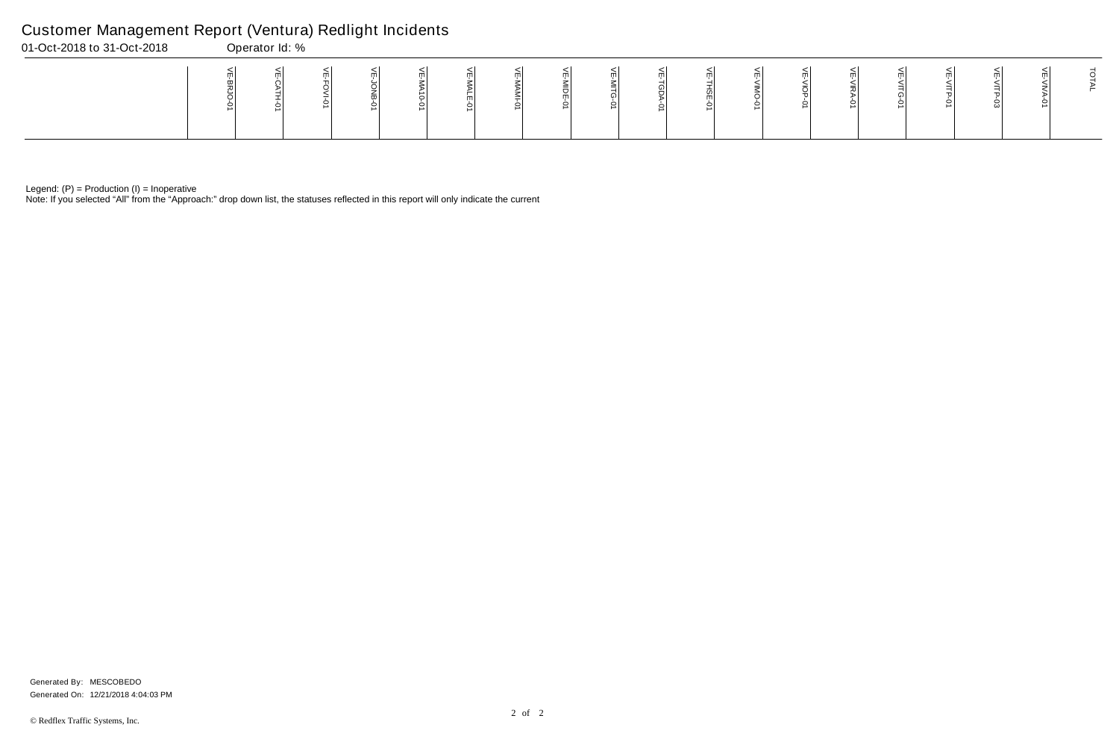Note: If you selected "All" from the "Approach:" drop down list, the statuses reflected in this report will only indicate the current

## Customer Management Report (Ventura) Redlight Incidents

| 01-Oct-2018 to 31-Oct-2018 | Operator Id: % |  |  |   |   |  |  |  |  |  |
|----------------------------|----------------|--|--|---|---|--|--|--|--|--|
|                            |                |  |  | ∸ | m |  |  |  |  |  |

Generated On: 12/21/2018 4:04:03 PM Generated By: MESCOBEDO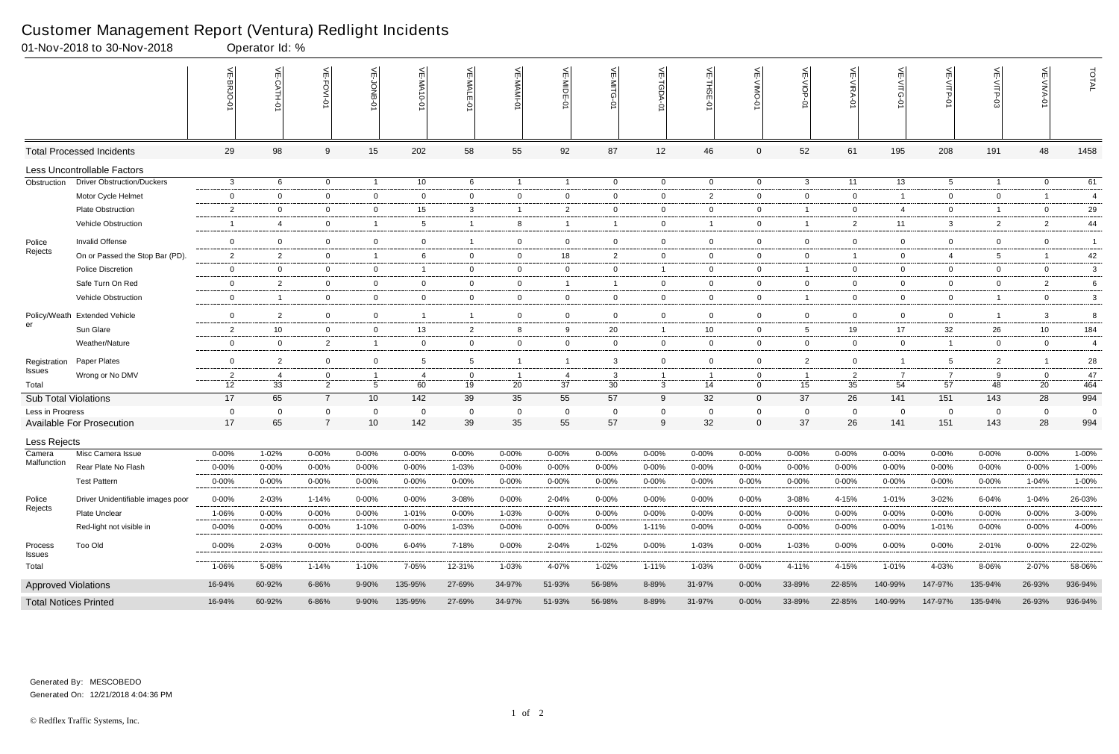|                              | 01-Nov-2018 to 30-Nov-2018        |                | Operator Id: % |                     |                   |                    |                |                |                |                   |                  |                |                |                      |                |                       |                 |                    |                      |                |
|------------------------------|-----------------------------------|----------------|----------------|---------------------|-------------------|--------------------|----------------|----------------|----------------|-------------------|------------------|----------------|----------------|----------------------|----------------|-----------------------|-----------------|--------------------|----------------------|----------------|
|                              |                                   |                | $\leq$<br>국    | اٺ<br>FOVI-01       | 늦                 | 닞<br>WA-<br>$-0-0$ | VE-MALE        |                | VE-MIDE-01     | VE-MITG-0         | VE-TGDA-0        | VE-THSE-01     | VE-VIMO-01     | VE-VIOP-07           | VE-VIRA-01     | ے<br><b>NITG</b><br>Ò | VE-VITP-01      | <b>SD-41IV</b>     | 늦                    | TOTAL          |
|                              | <b>Total Processed Incidents</b>  | 29             | 98             | 9                   | 15                | 202                | 58             | 55             | 92             | 87                | 12               | 46             | $\mathbf 0$    | 52                   | 61             | 195                   | 208             | 191                | 48                   | 1458           |
|                              | Less Uncontrollable Factors       |                |                |                     |                   |                    |                |                |                |                   |                  |                |                |                      |                |                       |                 |                    |                      |                |
| Obstruction                  | <b>Driver Obstruction/Duckers</b> | 3              | -6             | $\overline{0}$      | $\overline{1}$    | 10                 | 6              | $\overline{1}$ | $\overline{1}$ | $\overline{0}$    | $\overline{0}$   | $\overline{0}$ | $\overline{0}$ | $\mathbf{3}$         | 11             | 13                    | $5^{\circ}$     | $\overline{1}$     | $\overline{0}$       | 61             |
|                              | Motor Cycle Helmet                | $\mathbf 0$    | $\Omega$       | $\overline{0}$      | $\overline{0}$    | $\mathbf 0$        | $\mathbf{0}$   | $\overline{0}$ | $\mathbf 0$    | 0                 | 0                | $\overline{2}$ | $\mathbf{0}$   | $\overline{0}$       | $\overline{0}$ | -1                    | $\overline{0}$  | $\mathbf 0$        |                      | $\overline{4}$ |
|                              | <b>Plate Obstruction</b>          | $\overline{2}$ | $\Omega$       | $\overline{0}$      | $\overline{0}$    | 15 <sub>1</sub>    | 3              | $\overline{1}$ | $\overline{2}$ | $\mathbf{0}$      | $\mathbf 0$      | $\overline{0}$ | $\mathbf{0}$   | $\overline{1}$       | $\mathbf 0$    | 4                     | $\overline{0}$  | $\overline{1}$     | $\mathbf 0$          | 29             |
|                              | Vehicle Obstruction               | -1             | $\overline{4}$ | $\overline{0}$      | $\overline{1}$    | 5                  |                | 8              |                |                   | $\mathbf 0$      |                | $\mathbf{0}$   | $\overline{1}$       | $\overline{2}$ | 11                    | 3               | $\overline{2}$     | $\overline{2}$       | 44             |
| Police                       | Invalid Offense                   | $\overline{0}$ | $\mathbf 0$    | $\mathbf 0$         | $\mathbf 0$       | 0                  |                | $\overline{0}$ | $\mathbf 0$    | $\mathbf 0$       | $\overline{0}$   | $\overline{0}$ | $\mathbf 0$    | $\overline{0}$       | $\mathbf 0$    | $\mathbf 0$           | $\mathbf 0$     | $\mathbf 0$        | $\mathbf 0$          | $\overline{1}$ |
| Rejects                      | On or Passed the Stop Bar (PD).   | $\overline{2}$ | 2              | $\overline{0}$      | $\overline{1}$    | 6                  | $\mathbf{0}$   | $\overline{0}$ | 18             | $\mathbf{2}$      | 0                | $\overline{0}$ | $\mathbf{0}$   | $\overline{0}$       | -1             | $\mathbf 0$           | 4               | -5                 | $\overline{1}$       | 42             |
|                              | <b>Police Discretion</b>          | $\overline{0}$ | $\Omega$       | $\mathbf 0$         | $\mathbf 0$       |                    | $\mathbf{0}$   | $\overline{0}$ | 0              | $\mathbf 0$       |                  | $\overline{0}$ | $\mathbf{0}$   | $\mathbf{1}$         | $\overline{0}$ | $\mathbf 0$           | $\overline{0}$  | $\mathbf 0$        | $\overline{0}$       | 3              |
|                              | Safe Turn On Red                  | $\overline{0}$ | $\overline{2}$ | $\overline{0}$      | $\overline{0}$    | $\mathbf{0}$       | $\mathbf{0}$   | $\overline{0}$ | -1             | -1                | 0                | $\overline{0}$ | $\mathbf{0}$   | $\overline{0}$       | $\overline{0}$ | $\overline{0}$        | $\overline{0}$  | $\mathbf{0}$       | $\overline{2}$       | 6              |
|                              | <b>Vehicle Obstruction</b>        | $\mathbf 0$    | $\overline{1}$ | $\overline{0}$      | $\mathbf 0$       | $\mathbf 0$        | $\overline{0}$ | $\overline{0}$ | $\overline{0}$ | $\overline{0}$    | $\mathbf{0}$     | $\overline{0}$ | $\overline{0}$ | $\overline{1}$       | $\overline{0}$ | $\overline{0}$        | $\overline{0}$  | $\overline{1}$     | $\overline{0}$       | 3              |
|                              | Policy/Weath Extended Vehicle     | $\overline{0}$ | $\overline{2}$ | $\overline{0}$      | $\overline{0}$    | -1                 | $\overline{1}$ | $\overline{0}$ | $\mathbf 0$    | $\overline{0}$    | $\mathbf 0$      | $\overline{0}$ | $\mathbf{0}$   | $\overline{0}$       | $\overline{0}$ | $\overline{0}$        | $\overline{0}$  | $\overline{1}$     | $\mathbf{3}$         | 8              |
| er                           | Sun Glare                         | $\overline{2}$ | 10             | $\overline{0}$      | $\mathbf 0$       | 13                 | $\overline{2}$ | 8              | 9              | 20                | $\overline{1}$   | 10             | $\mathbf{0}$   | $5\overline{)}$      | 19             | 17                    | 32              | 26                 | 10                   | 184            |
|                              | Weather/Nature                    | $\overline{0}$ | 0              | $\overline{2}$      | $\overline{1}$    | $\mathbf 0$        | $\mathbf{0}$   | $\overline{0}$ | $\mathbf 0$    | $\mathbf{0}$      | 0                | $\overline{0}$ | $\mathbf{0}$   | $\overline{0}$       | $\overline{0}$ | $\overline{0}$        | $\overline{1}$  | $\mathbf 0$        | $\overline{0}$       | 4              |
| Registration                 | Paper Plates                      | $\overline{0}$ | $\overline{2}$ | $\overline{0}$      | $\overline{0}$    | 5                  | 5              | $\overline{1}$ |                | $\mathbf{3}$      | $\mathbf 0$      | $\overline{0}$ | $\mathbf{0}$   | $\overline{2}$       | $\mathbf 0$    | $\mathbf{1}$          | $5\overline{)}$ | $\overline{2}$     |                      | 28             |
| Issues                       | Wrong or No DMV                   | $\overline{2}$ | -4             | 0                   | -1                | -4                 | $\Omega$       |                | - 4            | 3                 |                  |                | 0              | $\overline{1}$       | $\overline{2}$ |                       | $\overline{7}$  | 9                  | $\overline{0}$       | 47             |
| Total                        |                                   | 12             | 33             | 2                   | $5\overline{)}$   | 60                 | 19             | 20             | 37             | 30                | $\mathbf{3}$     | 14             | $\mathbf{0}$   | 15                   | 35             | 54                    | $\overline{57}$ | 48                 | 20                   | 464            |
| <b>Sub Total Violations</b>  |                                   | 17             | 65             | $\overline{7}$      | 10                | 142                | 39             | 35             | 55             | 57                | 9                | 32             | $\overline{0}$ | 37                   | 26             | 141                   | 151             | 143                | 28                   | 994            |
| Less in Progress             | <b>Available For Prosecution</b>  | 0<br>17        | $\Omega$<br>65 | 0<br>$\overline{7}$ | $\mathbf 0$<br>10 | $\Omega$<br>142    | $\Omega$<br>39 | 0<br>35        | -0<br>55       | $\mathbf 0$<br>57 | $\mathbf 0$<br>9 | 0<br>32        | 0<br>0         | $\overline{0}$<br>37 | $\Omega$<br>26 | $\mathbf 0$<br>141    | 0<br>151        | $\mathbf 0$<br>143 | $\overline{0}$<br>28 | 0<br>994       |
| Less Rejects                 |                                   |                |                |                     |                   |                    |                |                |                |                   |                  |                |                |                      |                |                       |                 |                    |                      |                |
| Camera                       | Misc Camera Issue                 | $0 - 00%$      | 1-02%          | $0 - 00%$           | $0 - 00%$         | 0-00%              | $0 - 00\%$     | $0 - 00%$      | 0-00%          | $0 - 00%$         | $0 - 00%$        | $0 - 00%$      | $0 - 00%$      | $0 - 00%$            | $0 - 00%$      | 0-00%                 | 0-00%           | $0 - 00%$          | $0 - 00%$            | 1-00%          |
| Malfunction                  | Rear Plate No Flash               | $0 - 00%$      | 0-00%          | $0 - 00\%$          | 0-00%             | $0 - 00%$          | 1-03%          | $0 - 00%$      | $0 - 00%$      | 0-00%             | $0 - 00%$        | $0 - 00%$      | 0-00%          | $0 - 00%$            | $0 - 00\%$     | $0 - 00%$             | 0-00%           | $0 - 00\%$         | $0 - 00\%$           | 1-00%          |
|                              | <b>Test Pattern</b>               | $0 - 00%$      | 0-00%          | $0 - 00\%$          | $0 - 00%$         | 0-00%              | $0 - 00\%$     | $0 - 00%$      | 0-00%          | $0 - 00%$         | $0 - 00%$        | $0 - 00%$      | $0 - 00%$      | 0-00%                | $0 - 00%$      | $0 - 00%$             | 0-00%           | $0 - 00%$          | 1-04%                | 1-00%          |
| Police                       | Driver Unidentifiable images poor | $0 - 00%$      | 2-03%          | $1 - 14%$           | $0 - 00%$         | $0 - 00\%$         | 3-08%          | $0 - 00%$      | 2-04%          | $0 - 00\%$        | $0 - 00\%$       | $0 - 00%$      | $0 - 00%$      | 3-08%                | 4-15%          | 1-01%                 | 3-02%           | 6-04%              | 1-04%                | 26-03%         |
| Rejects                      | Plate Unclear                     | 1-06%          | $0 - 00\%$     | $0 - 00%$           | $0 - 00%$         | 1-01%              | $0 - 00\%$     | 1-03%          | $0 - 00%$      | $0 - 00%$         | 0-00%            | $0 - 00%$      | $0 - 00%$      | $0 - 00\%$           | $0 - 00%$      | $0 - 00%$             | $0 - 00%$       | $0 - 00\%$         | $0 - 00%$            | 3-00%          |
|                              | Red-light not visible in          | $0 - 00%$      | $0 - 00\%$     | 0-00%               | 1-10%             | $0 - 00%$          | 1-03%          | 0-00%          | $0 - 00%$      | 0-00%             | 1-11%            | 0-00%          | $0 - 00%$      | $0 - 00\%$           | $0 - 00\%$     | 0-00%                 | 1-01%           | 0-00%              | $0 - 00%$            | 4-00%          |
| Process                      | <b>Too Old</b>                    | $0 - 00%$      | 2-03%          | $0 - 00\%$          | $0 - 00\%$        | 6-04%              | 7-18%          | $0 - 00\%$     | 2-04%          | 1-02%             | $0 - 00\%$       | 1-03%          | $0 - 00\%$     | 1-03%                | $0 - 00\%$     | $0 - 00\%$            | 0-00%           | 2-01%              | $0 - 00\%$           | 22-02%         |
| <b>Issues</b><br>Total       |                                   | 1-06%          | 5-08%          | $1 - 14%$           | $1 - 10%$         | 7-05%              | 12-31%         | 1-03%          | 4-07%          | 1-02%             | $1 - 11%$        | 1-03%          | $0 - 00\%$     | 4-11%                | 4-15%          | 1-01%                 | 4-03%           | 8-06%              | 2-07%                | 58-06%         |
| <b>Approved Violations</b>   |                                   | 16-94%         | 60-92%         | 6-86%               | 9-90%             | 135-95%            | 27-69%         | 34-97%         | 51-93%         | 56-98%            | 8-89%            | 31-97%         | $0 - 00\%$     | 33-89%               | 22-85%         | 140-99%               | 147-97%         | 135-94%            | 26-93%               | 936-94%        |
| <b>Total Notices Printed</b> |                                   | 16-94%         | 60-92%         | 6-86%               | 9-90%             | 135-95%            | 27-69%         | 34-97%         | 51-93%         | 56-98%            | 8-89%            | 31-97%         | $0 - 00\%$     | 33-89%               | 22-85%         | 140-99%               | 147-97%         | 135-94%            | 26-93%               | 936-94%        |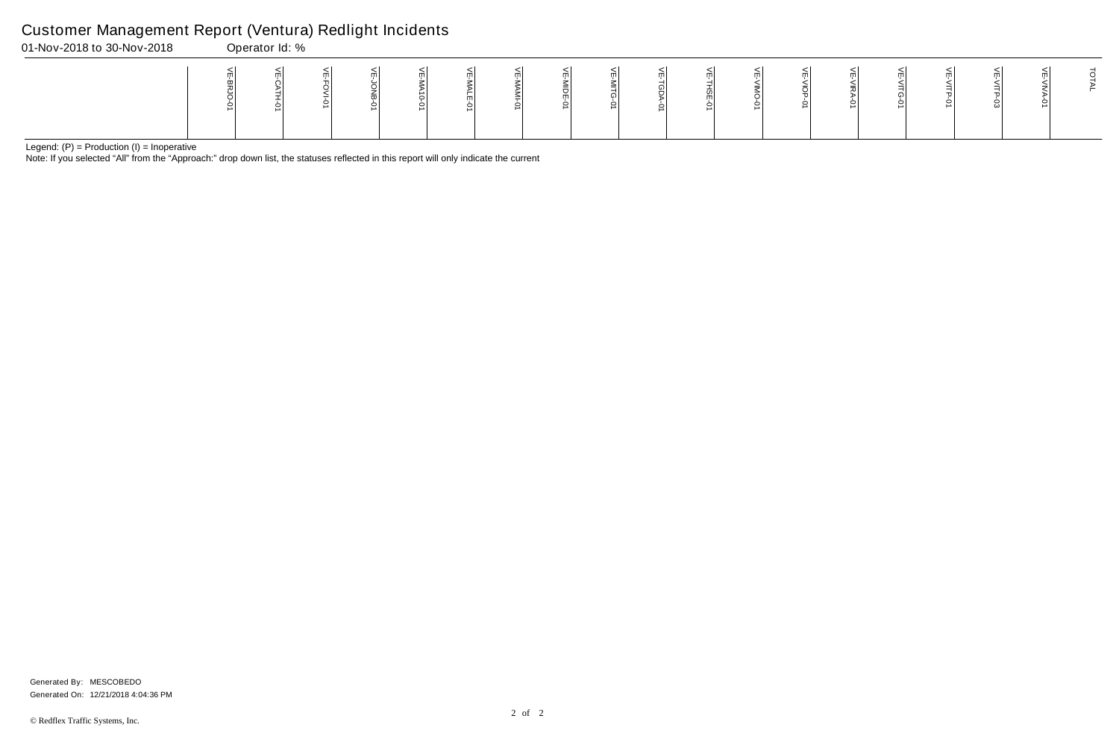Note: If you selected "All" from the "Approach:" drop down list, the statuses reflected in this report will only indicate the current

### Customer Management Report (Ventura) Redlight Incidents

01-Nov-2018 to 30-Nov-2018 Operator Id: %

Generated On: 12/21/2018 4:04:36 PM Generated By: MESCOBEDO